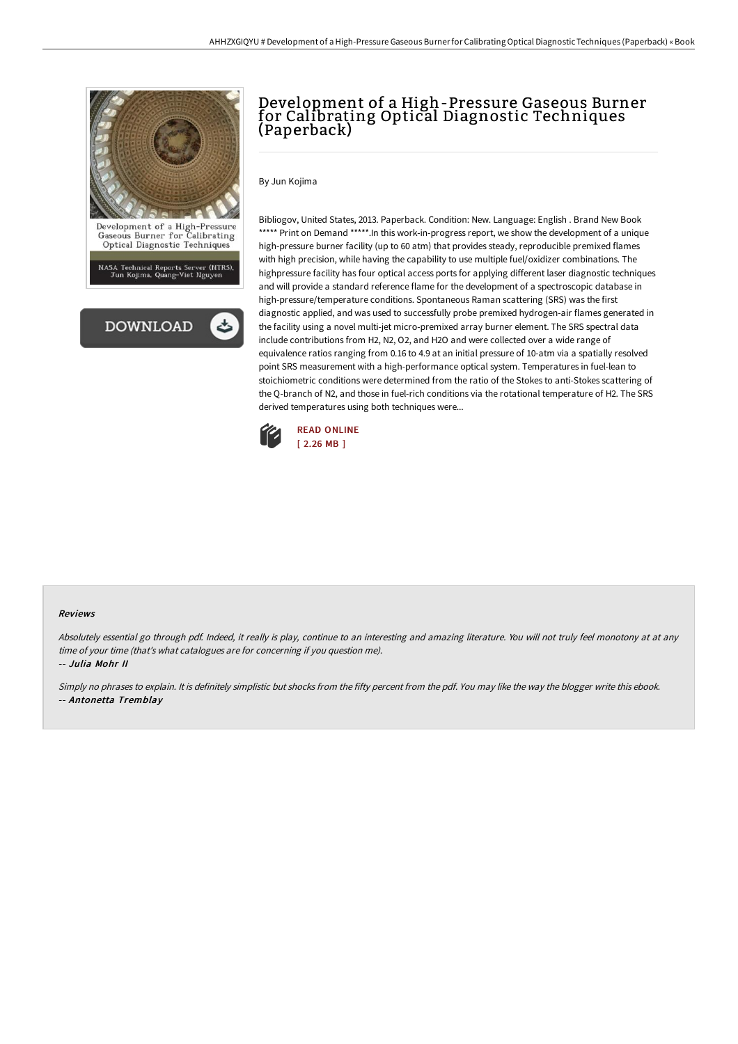

NASA Technical Reports Server (NTRS),<br>Jun Kojima, Quang-Viet Nguyen



# Development of a High-Pressure Gaseous Burner for Calibrating Optical Diagnostic Techniques (Paperback)

By Jun Kojima

Bibliogov, United States, 2013. Paperback. Condition: New. Language: English . Brand New Book \*\*\*\*\* Print on Demand \*\*\*\*\*. In this work-in-progress report, we show the development of a unique high-pressure burner facility (up to 60 atm) that provides steady, reproducible premixed flames with high precision, while having the capability to use multiple fuel/oxidizer combinations. The highpressure facility has four optical access ports for applying different laser diagnostic techniques and will provide a standard reference flame for the development of a spectroscopic database in high-pressure/temperature conditions. Spontaneous Raman scattering (SRS) was the first diagnostic applied, and was used to successfully probe premixed hydrogen-air flames generated in the facility using a novel multi-jet micro-premixed array burner element. The SRS spectral data include contributions from H2, N2, O2, and H2O and were collected over a wide range of equivalence ratios ranging from 0.16 to 4.9 at an initial pressure of 10-atm via a spatially resolved point SRS measurement with a high-performance optical system. Temperatures in fuel-lean to stoichiometric conditions were determined from the ratio of the Stokes to anti-Stokes scattering of the Q-branch of N2, and those in fuel-rich conditions via the rotational temperature of H2. The SRS derived temperatures using both techniques were...



#### Reviews

Absolutely essential go through pdf. Indeed, it really is play, continue to an interesting and amazing literature. You will not truly feel monotony at at any time of your time (that's what catalogues are for concerning if you question me).

-- Julia Mohr II

Simply no phrases to explain. It is definitely simplistic but shocks from the fifty percent from the pdf. You may like the way the blogger write this ebook. -- Antonetta Tremblay